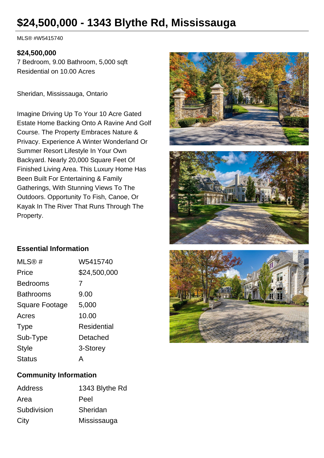# **\$24,500,000 - 1343 Blythe Rd, Mississauga**

MLS® #W5415740

### **\$24,500,000**

7 Bedroom, 9.00 Bathroom, 5,000 sqft Residential on 10.00 Acres

Sheridan, Mississauga, Ontario

Imagine Driving Up To Your 10 Acre Gated Estate Home Backing Onto A Ravine And Golf Course. The Property Embraces Nature & Privacy. Experience A Winter Wonderland Or Summer Resort Lifestyle In Your Own Backyard. Nearly 20,000 Square Feet Of Finished Living Area. This Luxury Home Has Been Built For Entertaining & Family Gatherings, With Stunning Views To The Outdoors. Opportunity To Fish, Canoe, Or Kayak In The River That Runs Through The Property.





## **Essential Information**

| MLS@#                 | W5415740     |
|-----------------------|--------------|
| Price                 | \$24,500,000 |
| Bedrooms              | 7            |
| <b>Bathrooms</b>      | 9.00         |
| <b>Square Footage</b> | 5,000        |
| Acres                 | 10.00        |
| <b>Type</b>           | Residential  |
| Sub-Type              | Detached     |
| <b>Style</b>          | 3-Storey     |
| <b>Status</b>         | Δ            |



#### **Community Information**

| Address     | 1343 Blythe Rd |
|-------------|----------------|
| Area        | Peel           |
| Subdivision | Sheridan       |
| City        | Mississauga    |